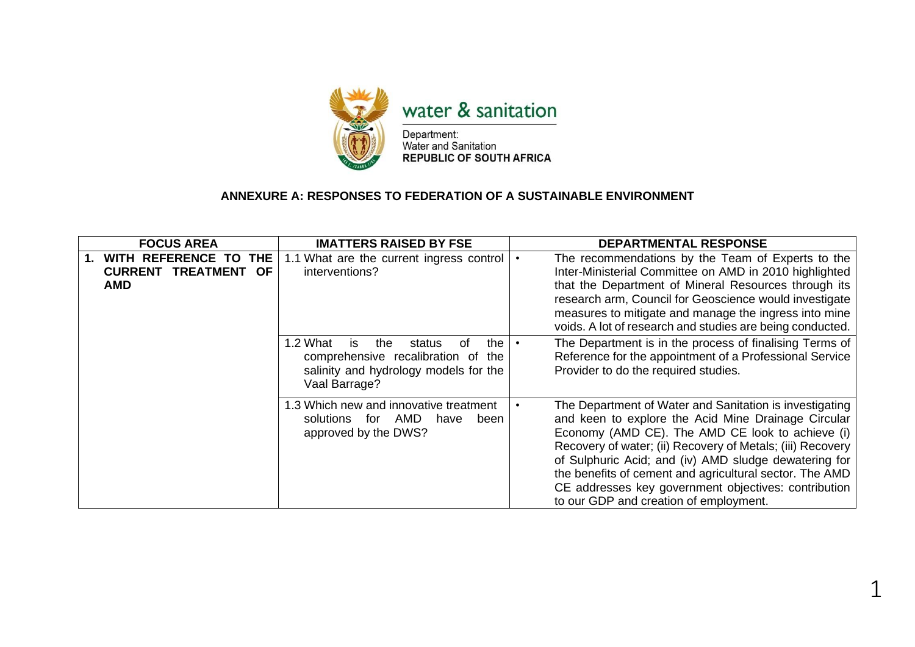

## **ANNEXURE A: RESPONSES TO FEDERATION OF A SUSTAINABLE ENVIRONMENT**

| <b>FOCUS AREA</b>                                                                                       | <b>IMATTERS RAISED BY FSE</b>                                                                                                                 | <b>DEPARTMENTAL RESPONSE</b>                                                                                                                                                                                                                                                                                                                                                                                                                           |
|---------------------------------------------------------------------------------------------------------|-----------------------------------------------------------------------------------------------------------------------------------------------|--------------------------------------------------------------------------------------------------------------------------------------------------------------------------------------------------------------------------------------------------------------------------------------------------------------------------------------------------------------------------------------------------------------------------------------------------------|
| WITH REFERENCE TO<br><b>THE</b><br>$\mathbf 1$ .<br><b>OF</b><br><b>CURRENT TREATMENT</b><br><b>AMD</b> | 1.1 What are the current ingress control<br>interventions?                                                                                    | The recommendations by the Team of Experts to the<br>Inter-Ministerial Committee on AMD in 2010 highlighted<br>that the Department of Mineral Resources through its<br>research arm, Council for Geoscience would investigate<br>measures to mitigate and manage the ingress into mine<br>voids. A lot of research and studies are being conducted.                                                                                                    |
|                                                                                                         | the<br>1.2 What<br>of<br>is.<br>the<br>status<br>comprehensive recalibration of the<br>salinity and hydrology models for the<br>Vaal Barrage? | The Department is in the process of finalising Terms of<br>Reference for the appointment of a Professional Service<br>Provider to do the required studies.                                                                                                                                                                                                                                                                                             |
|                                                                                                         | 1.3 Which new and innovative treatment<br>AMD<br>solutions<br>for<br>have<br>been<br>approved by the DWS?                                     | The Department of Water and Sanitation is investigating<br>and keen to explore the Acid Mine Drainage Circular<br>Economy (AMD CE). The AMD CE look to achieve (i)<br>Recovery of water; (ii) Recovery of Metals; (iii) Recovery<br>of Sulphuric Acid; and (iv) AMD sludge dewatering for<br>the benefits of cement and agricultural sector. The AMD<br>CE addresses key government objectives: contribution<br>to our GDP and creation of employment. |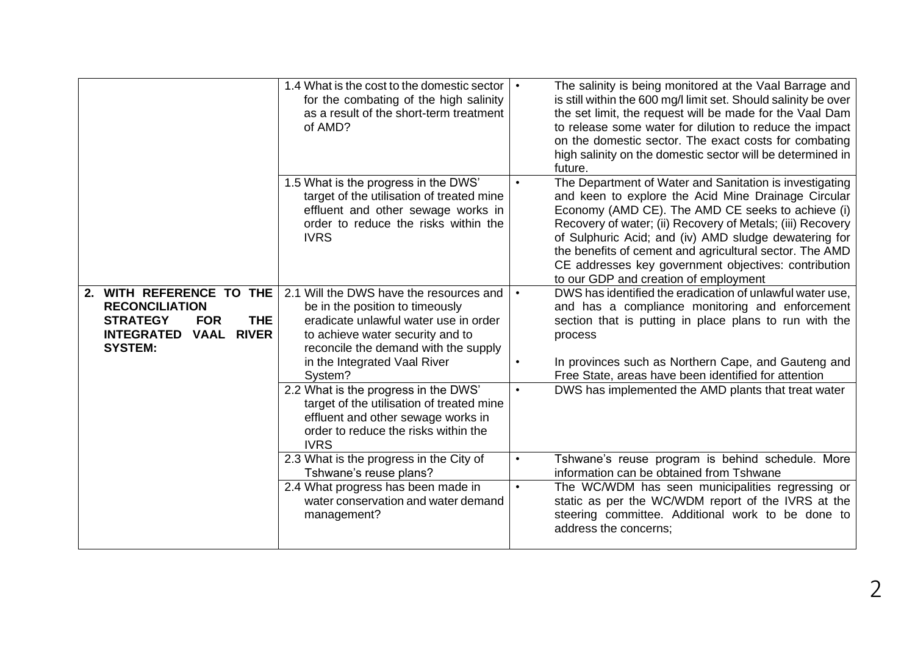|                                                                                                                                                                           | 1.4 What is the cost to the domestic sector<br>for the combating of the high salinity<br>as a result of the short-term treatment<br>of AMD?                                                                                                                                                                                                                                                                   |                        | The salinity is being monitored at the Vaal Barrage and<br>is still within the 600 mg/l limit set. Should salinity be over<br>the set limit, the request will be made for the Vaal Dam<br>to release some water for dilution to reduce the impact<br>on the domestic sector. The exact costs for combating<br>high salinity on the domestic sector will be determined in<br>future.                                                                    |
|---------------------------------------------------------------------------------------------------------------------------------------------------------------------------|---------------------------------------------------------------------------------------------------------------------------------------------------------------------------------------------------------------------------------------------------------------------------------------------------------------------------------------------------------------------------------------------------------------|------------------------|--------------------------------------------------------------------------------------------------------------------------------------------------------------------------------------------------------------------------------------------------------------------------------------------------------------------------------------------------------------------------------------------------------------------------------------------------------|
|                                                                                                                                                                           | 1.5 What is the progress in the DWS'<br>target of the utilisation of treated mine<br>effluent and other sewage works in<br>order to reduce the risks within the<br><b>IVRS</b>                                                                                                                                                                                                                                |                        | The Department of Water and Sanitation is investigating<br>and keen to explore the Acid Mine Drainage Circular<br>Economy (AMD CE). The AMD CE seeks to achieve (i)<br>Recovery of water; (ii) Recovery of Metals; (iii) Recovery<br>of Sulphuric Acid; and (iv) AMD sludge dewatering for<br>the benefits of cement and agricultural sector. The AMD<br>CE addresses key government objectives: contribution<br>to our GDP and creation of employment |
| WITH REFERENCE TO THE<br>2.<br><b>RECONCILIATION</b><br><b>THE</b><br><b>STRATEGY</b><br><b>FOR</b><br><b>RIVER</b><br><b>INTEGRATED</b><br><b>VAAL</b><br><b>SYSTEM:</b> | 2.1 Will the DWS have the resources and<br>be in the position to timeously<br>eradicate unlawful water use in order<br>to achieve water security and to<br>reconcile the demand with the supply<br>in the Integrated Vaal River<br>System?<br>2.2 What is the progress in the DWS'<br>target of the utilisation of treated mine<br>effluent and other sewage works in<br>order to reduce the risks within the | $\bullet$<br>$\bullet$ | DWS has identified the eradication of unlawful water use,<br>and has a compliance monitoring and enforcement<br>section that is putting in place plans to run with the<br>process<br>In provinces such as Northern Cape, and Gauteng and<br>Free State, areas have been identified for attention<br>DWS has implemented the AMD plants that treat water                                                                                                |
|                                                                                                                                                                           | <b>IVRS</b><br>2.3 What is the progress in the City of<br>Tshwane's reuse plans?<br>2.4 What progress has been made in<br>water conservation and water demand<br>management?                                                                                                                                                                                                                                  | $\bullet$              | Tshwane's reuse program is behind schedule. More<br>information can be obtained from Tshwane<br>The WC/WDM has seen municipalities regressing or<br>static as per the WC/WDM report of the IVRS at the<br>steering committee. Additional work to be done to<br>address the concerns;                                                                                                                                                                   |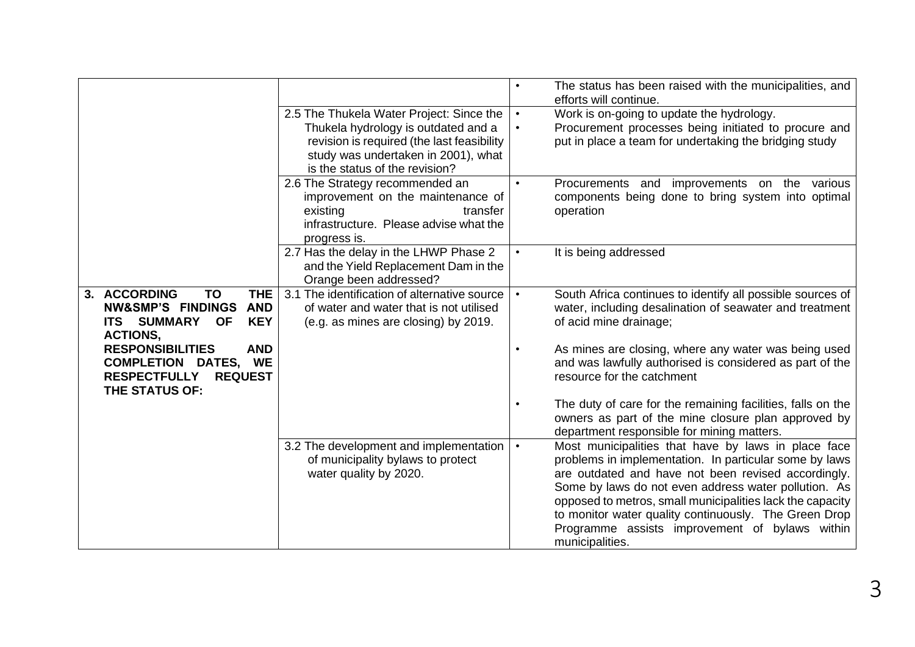|                                               |                                              |           | The status has been raised with the municipalities, and<br>efforts will continue. |
|-----------------------------------------------|----------------------------------------------|-----------|-----------------------------------------------------------------------------------|
|                                               | 2.5 The Thukela Water Project: Since the     | $\bullet$ | Work is on-going to update the hydrology.                                         |
|                                               | Thukela hydrology is outdated and a          | $\bullet$ | Procurement processes being initiated to procure and                              |
|                                               | revision is required (the last feasibility   |           | put in place a team for undertaking the bridging study                            |
|                                               |                                              |           |                                                                                   |
|                                               | study was undertaken in 2001), what          |           |                                                                                   |
|                                               | is the status of the revision?               |           |                                                                                   |
|                                               | 2.6 The Strategy recommended an              |           | Procurements and improvements on the various                                      |
|                                               | improvement on the maintenance of            |           | components being done to bring system into optimal                                |
|                                               | existing<br>transfer                         |           | operation                                                                         |
|                                               | infrastructure. Please advise what the       |           |                                                                                   |
|                                               | progress is.                                 |           |                                                                                   |
|                                               |                                              | $\bullet$ |                                                                                   |
|                                               | 2.7 Has the delay in the LHWP Phase 2        |           | It is being addressed                                                             |
|                                               | and the Yield Replacement Dam in the         |           |                                                                                   |
|                                               | Orange been addressed?                       |           |                                                                                   |
| 3. ACCORDING<br>TO<br><b>THE</b>              | 3.1 The identification of alternative source | $\bullet$ | South Africa continues to identify all possible sources of                        |
| <b>NW&amp;SMP'S FINDINGS</b><br><b>AND</b>    | of water and water that is not utilised      |           | water, including desalination of seawater and treatment                           |
| <b>ITS SUMMARY</b><br><b>OF</b><br><b>KEY</b> | (e.g. as mines are closing) by 2019.         |           | of acid mine drainage;                                                            |
| <b>ACTIONS,</b>                               |                                              |           |                                                                                   |
| <b>RESPONSIBILITIES</b><br><b>AND</b>         |                                              |           | As mines are closing, where any water was being used                              |
| <b>COMPLETION DATES, WE</b>                   |                                              |           | and was lawfully authorised is considered as part of the                          |
|                                               |                                              |           |                                                                                   |
| <b>RESPECTFULLY</b><br><b>REQUEST</b>         |                                              |           | resource for the catchment                                                        |
| THE STATUS OF:                                |                                              |           |                                                                                   |
|                                               |                                              |           | The duty of care for the remaining facilities, falls on the                       |
|                                               |                                              |           | owners as part of the mine closure plan approved by                               |
|                                               |                                              |           | department responsible for mining matters.                                        |
|                                               | 3.2 The development and implementation       | $\bullet$ | Most municipalities that have by laws in place face                               |
|                                               | of municipality bylaws to protect            |           | problems in implementation. In particular some by laws                            |
|                                               | water quality by 2020.                       |           | are outdated and have not been revised accordingly.                               |
|                                               |                                              |           | Some by laws do not even address water pollution. As                              |
|                                               |                                              |           |                                                                                   |
|                                               |                                              |           | opposed to metros, small municipalities lack the capacity                         |
|                                               |                                              |           | to monitor water quality continuously. The Green Drop                             |
|                                               |                                              |           | Programme assists improvement of bylaws within                                    |
|                                               |                                              |           | municipalities.                                                                   |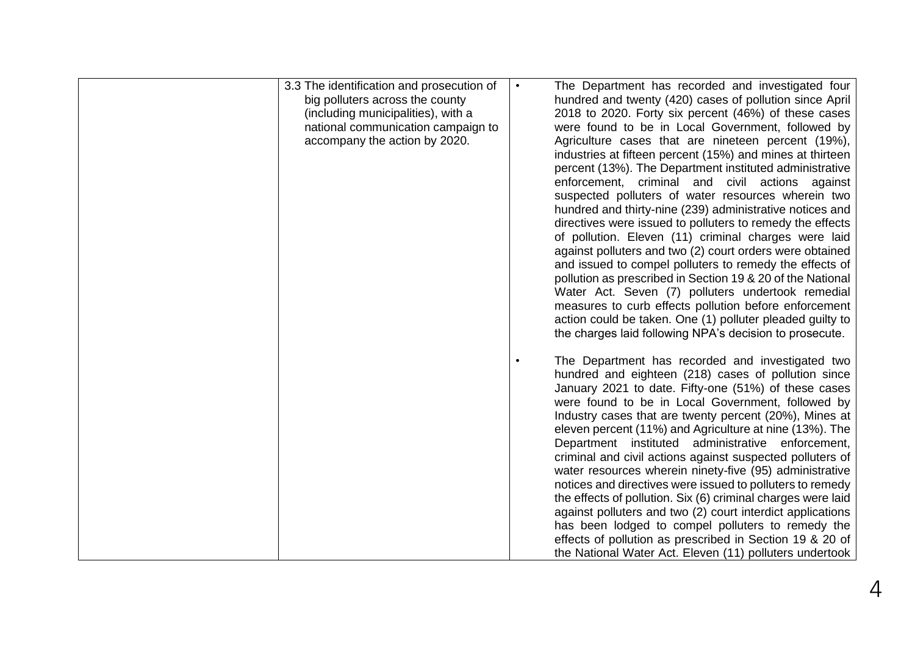| 3.3 The identification and prosecution of | The Department has recorded and investigated four            |
|-------------------------------------------|--------------------------------------------------------------|
| big polluters across the county           | hundred and twenty (420) cases of pollution since April      |
| (including municipalities), with a        | 2018 to 2020. Forty six percent (46%) of these cases         |
| national communication campaign to        | were found to be in Local Government, followed by            |
| accompany the action by 2020.             | Agriculture cases that are nineteen percent (19%),           |
|                                           | industries at fifteen percent (15%) and mines at thirteen    |
|                                           | percent (13%). The Department instituted administrative      |
|                                           | enforcement, criminal and civil actions against              |
|                                           | suspected polluters of water resources wherein two           |
|                                           | hundred and thirty-nine (239) administrative notices and     |
|                                           | directives were issued to polluters to remedy the effects    |
|                                           | of pollution. Eleven (11) criminal charges were laid         |
|                                           | against polluters and two (2) court orders were obtained     |
|                                           | and issued to compel polluters to remedy the effects of      |
|                                           | pollution as prescribed in Section 19 & 20 of the National   |
|                                           | Water Act. Seven (7) polluters undertook remedial            |
|                                           |                                                              |
|                                           | measures to curb effects pollution before enforcement        |
|                                           | action could be taken. One (1) polluter pleaded guilty to    |
|                                           | the charges laid following NPA's decision to prosecute.      |
|                                           |                                                              |
|                                           | The Department has recorded and investigated two             |
|                                           | hundred and eighteen (218) cases of pollution since          |
|                                           | January 2021 to date. Fifty-one (51%) of these cases         |
|                                           | were found to be in Local Government, followed by            |
|                                           | Industry cases that are twenty percent (20%), Mines at       |
|                                           | eleven percent (11%) and Agriculture at nine (13%). The      |
|                                           | Department instituted administrative enforcement,            |
|                                           | criminal and civil actions against suspected polluters of    |
|                                           | water resources wherein ninety-five (95) administrative      |
|                                           | notices and directives were issued to polluters to remedy    |
|                                           | the effects of pollution. Six (6) criminal charges were laid |
|                                           | against polluters and two (2) court interdict applications   |
|                                           | has been lodged to compel polluters to remedy the            |
|                                           | effects of pollution as prescribed in Section 19 & 20 of     |
|                                           | the National Water Act. Eleven (11) polluters undertook      |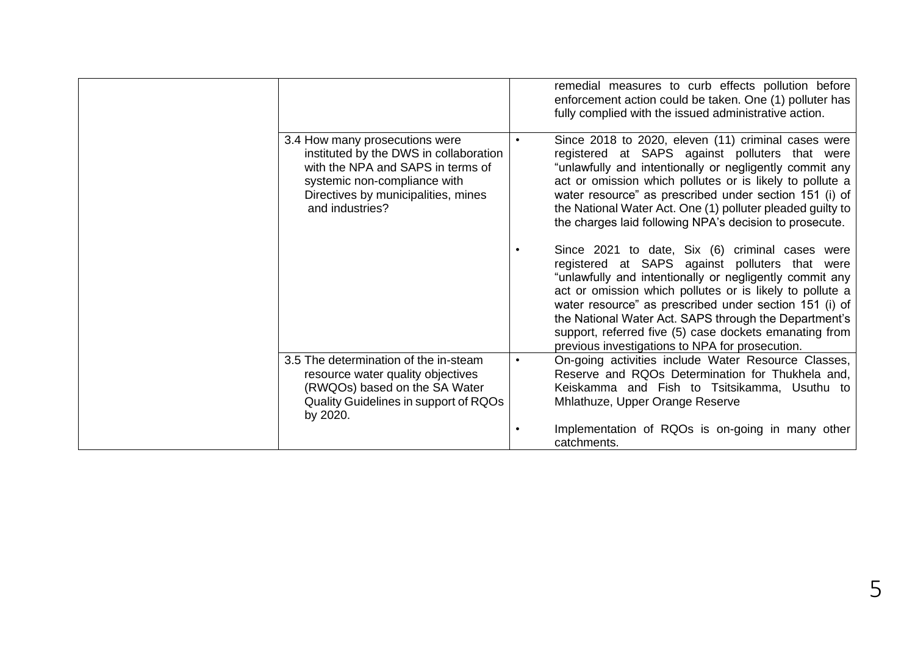|                                                                                                                                                                                                         | remedial measures to curb effects pollution before<br>enforcement action could be taken. One (1) polluter has<br>fully complied with the issued administrative action.                                                                                                                                                                                                                                                                                   |
|---------------------------------------------------------------------------------------------------------------------------------------------------------------------------------------------------------|----------------------------------------------------------------------------------------------------------------------------------------------------------------------------------------------------------------------------------------------------------------------------------------------------------------------------------------------------------------------------------------------------------------------------------------------------------|
| 3.4 How many prosecutions were<br>instituted by the DWS in collaboration<br>with the NPA and SAPS in terms of<br>systemic non-compliance with<br>Directives by municipalities, mines<br>and industries? | Since 2018 to 2020, eleven (11) criminal cases were<br>registered at SAPS against polluters that were<br>"unlawfully and intentionally or negligently commit any<br>act or omission which pollutes or is likely to pollute a<br>water resource" as prescribed under section 151 (i) of<br>the National Water Act. One (1) polluter pleaded guilty to<br>the charges laid following NPA's decision to prosecute.                                          |
|                                                                                                                                                                                                         | Since 2021 to date, Six (6) criminal cases were<br>registered at SAPS against polluters that were<br>"unlawfully and intentionally or negligently commit any<br>act or omission which pollutes or is likely to pollute a<br>water resource" as prescribed under section 151 (i) of<br>the National Water Act. SAPS through the Department's<br>support, referred five (5) case dockets emanating from<br>previous investigations to NPA for prosecution. |
| 3.5 The determination of the in-steam<br>resource water quality objectives<br>(RWQOs) based on the SA Water<br>Quality Guidelines in support of RQOs<br>by 2020.                                        | On-going activities include Water Resource Classes,<br>Reserve and RQOs Determination for Thukhela and,<br>Keiskamma and Fish to Tsitsikamma, Usuthu to<br>Mhlathuze, Upper Orange Reserve                                                                                                                                                                                                                                                               |
|                                                                                                                                                                                                         | Implementation of RQOs is on-going in many other<br>catchments.                                                                                                                                                                                                                                                                                                                                                                                          |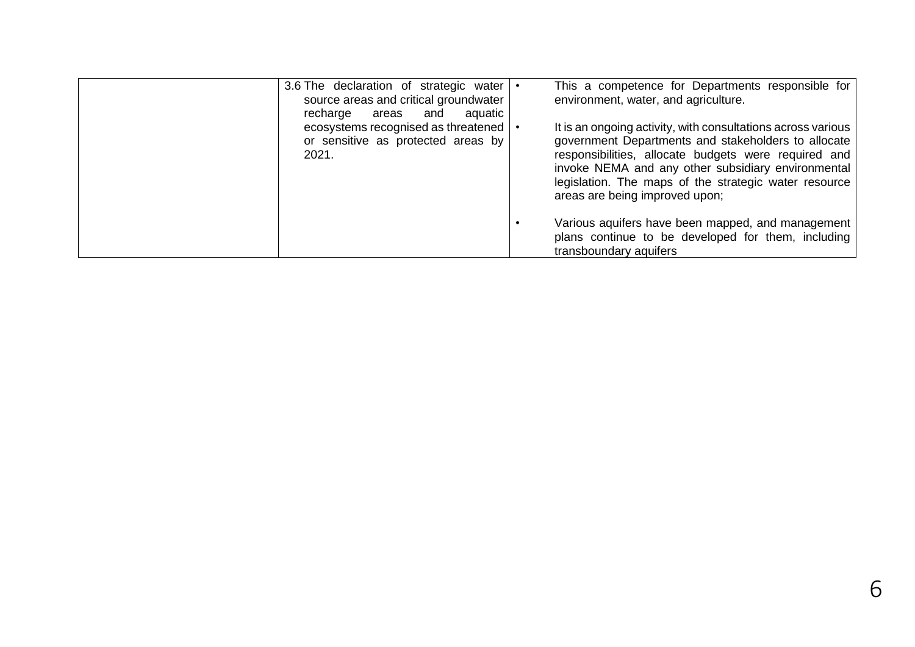| 3.6 The declaration of strategic water<br>source areas and critical groundwater<br>recharge<br>aquatic<br>and<br>areas | This a competence for Departments responsible for<br>environment, water, and agriculture.                                                                                                                                                                                                                                    |
|------------------------------------------------------------------------------------------------------------------------|------------------------------------------------------------------------------------------------------------------------------------------------------------------------------------------------------------------------------------------------------------------------------------------------------------------------------|
| ecosystems recognised as threatened<br>or sensitive as protected areas by<br>2021.                                     | It is an ongoing activity, with consultations across various<br>government Departments and stakeholders to allocate<br>responsibilities, allocate budgets were required and<br>invoke NEMA and any other subsidiary environmental<br>legislation. The maps of the strategic water resource<br>areas are being improved upon; |
|                                                                                                                        | Various aquifers have been mapped, and management<br>plans continue to be developed for them, including<br>transboundary aquifers                                                                                                                                                                                            |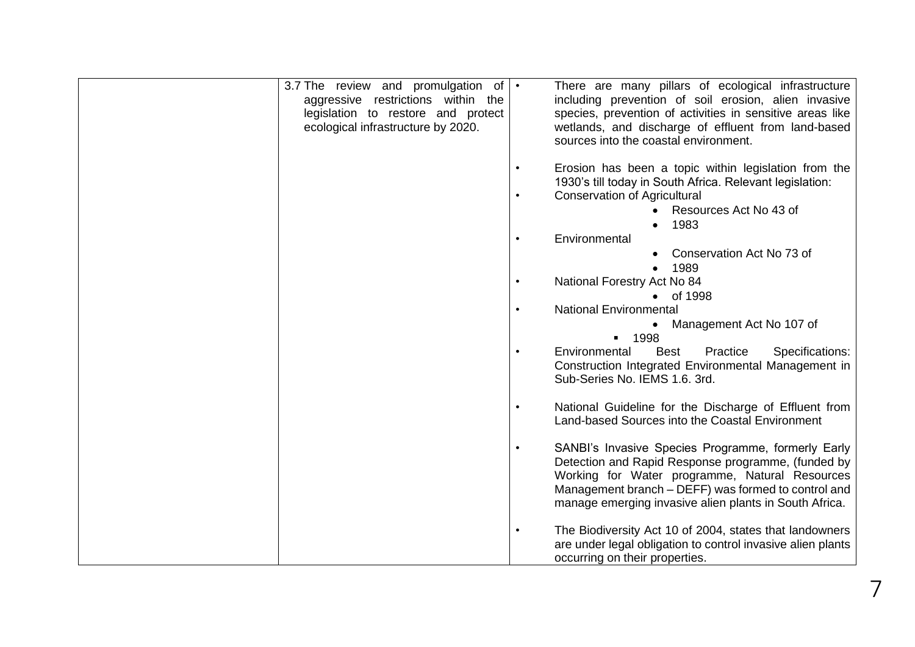| 3.7 The review and promulgation of $\cdot$<br>aggressive restrictions within the<br>legislation to restore and protect<br>ecological infrastructure by 2020. |           | There are many pillars of ecological infrastructure<br>including prevention of soil erosion, alien invasive<br>species, prevention of activities in sensitive areas like<br>wetlands, and discharge of effluent from land-based                                             |
|--------------------------------------------------------------------------------------------------------------------------------------------------------------|-----------|-----------------------------------------------------------------------------------------------------------------------------------------------------------------------------------------------------------------------------------------------------------------------------|
|                                                                                                                                                              |           | sources into the coastal environment.                                                                                                                                                                                                                                       |
|                                                                                                                                                              |           | Erosion has been a topic within legislation from the<br>1930's till today in South Africa. Relevant legislation:                                                                                                                                                            |
|                                                                                                                                                              | $\bullet$ | <b>Conservation of Agricultural</b><br>Resources Act No 43 of                                                                                                                                                                                                               |
|                                                                                                                                                              | $\bullet$ | 1983<br>$\bullet$<br>Environmental                                                                                                                                                                                                                                          |
|                                                                                                                                                              |           | Conservation Act No 73 of<br>1989                                                                                                                                                                                                                                           |
|                                                                                                                                                              | $\bullet$ | National Forestry Act No 84                                                                                                                                                                                                                                                 |
|                                                                                                                                                              |           | • of 1998<br><b>National Environmental</b>                                                                                                                                                                                                                                  |
|                                                                                                                                                              |           | Management Act No 107 of<br>1998<br>$\blacksquare$                                                                                                                                                                                                                          |
|                                                                                                                                                              |           | Environmental<br>Specifications:<br><b>Best</b><br>Practice<br>Construction Integrated Environmental Management in<br>Sub-Series No. IEMS 1.6. 3rd.                                                                                                                         |
|                                                                                                                                                              |           | National Guideline for the Discharge of Effluent from<br>Land-based Sources into the Coastal Environment                                                                                                                                                                    |
|                                                                                                                                                              |           | SANBI's Invasive Species Programme, formerly Early<br>Detection and Rapid Response programme, (funded by<br>Working for Water programme, Natural Resources<br>Management branch – DEFF) was formed to control and<br>manage emerging invasive alien plants in South Africa. |
|                                                                                                                                                              |           | The Biodiversity Act 10 of 2004, states that landowners<br>are under legal obligation to control invasive alien plants<br>occurring on their properties.                                                                                                                    |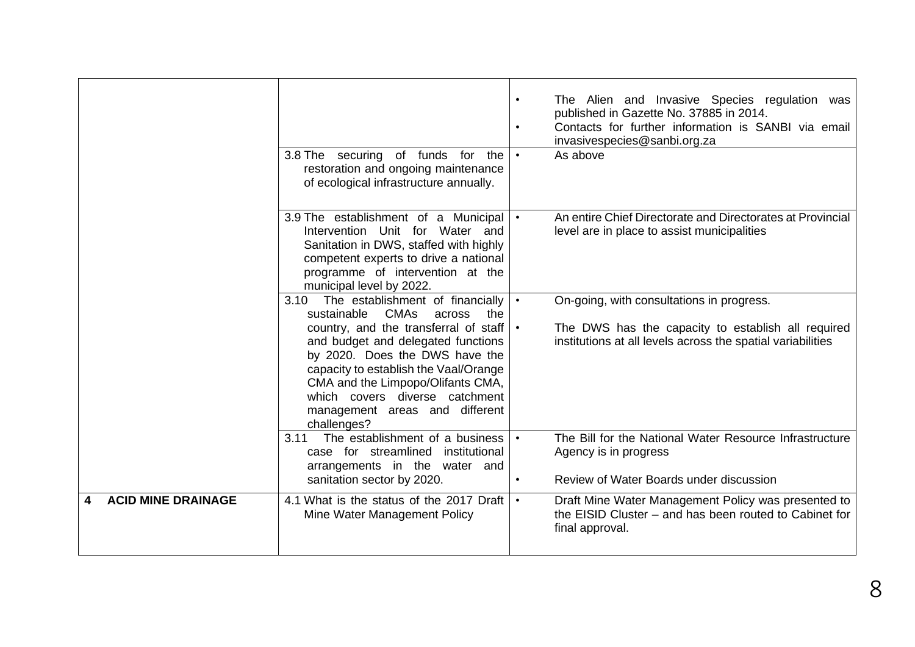|                           | 3.8 The securing of funds for the<br>restoration and ongoing maintenance<br>of ecological infrastructure annually.                                                                                                                                                                                                                                                     | $\bullet$ | The Alien and Invasive Species regulation was<br>published in Gazette No. 37885 in 2014.<br>Contacts for further information is SANBI via email<br>invasivespecies@sanbi.org.za<br>As above |
|---------------------------|------------------------------------------------------------------------------------------------------------------------------------------------------------------------------------------------------------------------------------------------------------------------------------------------------------------------------------------------------------------------|-----------|---------------------------------------------------------------------------------------------------------------------------------------------------------------------------------------------|
|                           | 3.9 The establishment of a Municipal<br>Intervention Unit for Water and<br>Sanitation in DWS, staffed with highly<br>competent experts to drive a national<br>programme of intervention at the<br>municipal level by 2022.                                                                                                                                             |           | An entire Chief Directorate and Directorates at Provincial<br>level are in place to assist municipalities                                                                                   |
|                           | 3.10 The establishment of financially<br><b>CMAs</b><br>sustainable<br>across<br>the<br>country, and the transferral of staff<br>and budget and delegated functions<br>by 2020. Does the DWS have the<br>capacity to establish the Vaal/Orange<br>CMA and the Limpopo/Olifants CMA,<br>which covers diverse catchment<br>management areas and different<br>challenges? |           | On-going, with consultations in progress.<br>The DWS has the capacity to establish all required<br>institutions at all levels across the spatial variabilities                              |
|                           | The establishment of a business<br>3.11<br>case for streamlined<br>institutional<br>arrangements in the water and<br>sanitation sector by 2020.                                                                                                                                                                                                                        | $\bullet$ | The Bill for the National Water Resource Infrastructure<br>Agency is in progress<br>Review of Water Boards under discussion                                                                 |
| <b>ACID MINE DRAINAGE</b> | 4.1 What is the status of the 2017 Draft<br>Mine Water Management Policy                                                                                                                                                                                                                                                                                               | $\bullet$ | Draft Mine Water Management Policy was presented to<br>the EISID Cluster – and has been routed to Cabinet for<br>final approval.                                                            |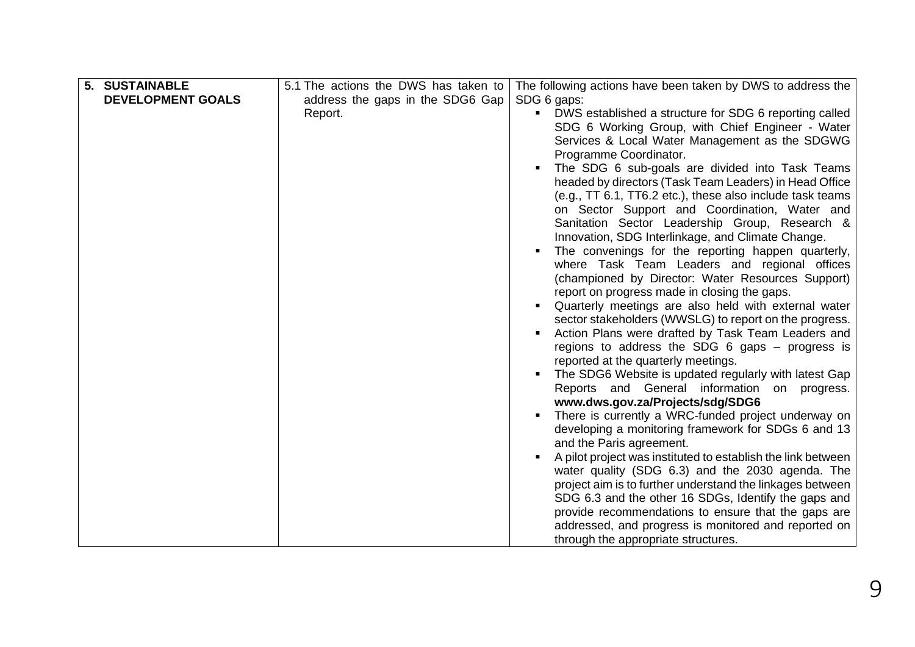| 5. SUSTAINABLE<br><b>DEVELOPMENT GOALS</b> | 5.1 The actions the DWS has taken to<br>address the gaps in the SDG6 Gap<br>Report. | The following actions have been taken by DWS to address the<br>SDG 6 gaps:<br>• DWS established a structure for SDG 6 reporting called<br>SDG 6 Working Group, with Chief Engineer - Water<br>Services & Local Water Management as the SDGWG<br>Programme Coordinator.<br>The SDG 6 sub-goals are divided into Task Teams<br>headed by directors (Task Team Leaders) in Head Office<br>(e.g., TT 6.1, TT6.2 etc.), these also include task teams<br>on Sector Support and Coordination, Water and<br>Sanitation Sector Leadership Group, Research &<br>Innovation, SDG Interlinkage, and Climate Change.<br>The convenings for the reporting happen quarterly,<br>where Task Team Leaders and regional offices<br>(championed by Director: Water Resources Support)<br>report on progress made in closing the gaps.<br>Quarterly meetings are also held with external water<br>sector stakeholders (WWSLG) to report on the progress.<br>Action Plans were drafted by Task Team Leaders and<br>regions to address the SDG $6$ gaps $-$ progress is<br>reported at the quarterly meetings.<br>The SDG6 Website is updated regularly with latest Gap<br>Reports and General information on progress.<br>www.dws.gov.za/Projects/sdg/SDG6<br>There is currently a WRC-funded project underway on<br>developing a monitoring framework for SDGs 6 and 13<br>and the Paris agreement.<br>A pilot project was instituted to establish the link between<br>water quality (SDG 6.3) and the 2030 agenda. The |
|--------------------------------------------|-------------------------------------------------------------------------------------|------------------------------------------------------------------------------------------------------------------------------------------------------------------------------------------------------------------------------------------------------------------------------------------------------------------------------------------------------------------------------------------------------------------------------------------------------------------------------------------------------------------------------------------------------------------------------------------------------------------------------------------------------------------------------------------------------------------------------------------------------------------------------------------------------------------------------------------------------------------------------------------------------------------------------------------------------------------------------------------------------------------------------------------------------------------------------------------------------------------------------------------------------------------------------------------------------------------------------------------------------------------------------------------------------------------------------------------------------------------------------------------------------------------------------------------------------------------------------------------------------|
|                                            |                                                                                     |                                                                                                                                                                                                                                                                                                                                                                                                                                                                                                                                                                                                                                                                                                                                                                                                                                                                                                                                                                                                                                                                                                                                                                                                                                                                                                                                                                                                                                                                                                      |
|                                            |                                                                                     |                                                                                                                                                                                                                                                                                                                                                                                                                                                                                                                                                                                                                                                                                                                                                                                                                                                                                                                                                                                                                                                                                                                                                                                                                                                                                                                                                                                                                                                                                                      |
|                                            |                                                                                     | project aim is to further understand the linkages between                                                                                                                                                                                                                                                                                                                                                                                                                                                                                                                                                                                                                                                                                                                                                                                                                                                                                                                                                                                                                                                                                                                                                                                                                                                                                                                                                                                                                                            |
|                                            |                                                                                     | SDG 6.3 and the other 16 SDGs, Identify the gaps and<br>provide recommendations to ensure that the gaps are                                                                                                                                                                                                                                                                                                                                                                                                                                                                                                                                                                                                                                                                                                                                                                                                                                                                                                                                                                                                                                                                                                                                                                                                                                                                                                                                                                                          |
|                                            |                                                                                     | addressed, and progress is monitored and reported on<br>through the appropriate structures.                                                                                                                                                                                                                                                                                                                                                                                                                                                                                                                                                                                                                                                                                                                                                                                                                                                                                                                                                                                                                                                                                                                                                                                                                                                                                                                                                                                                          |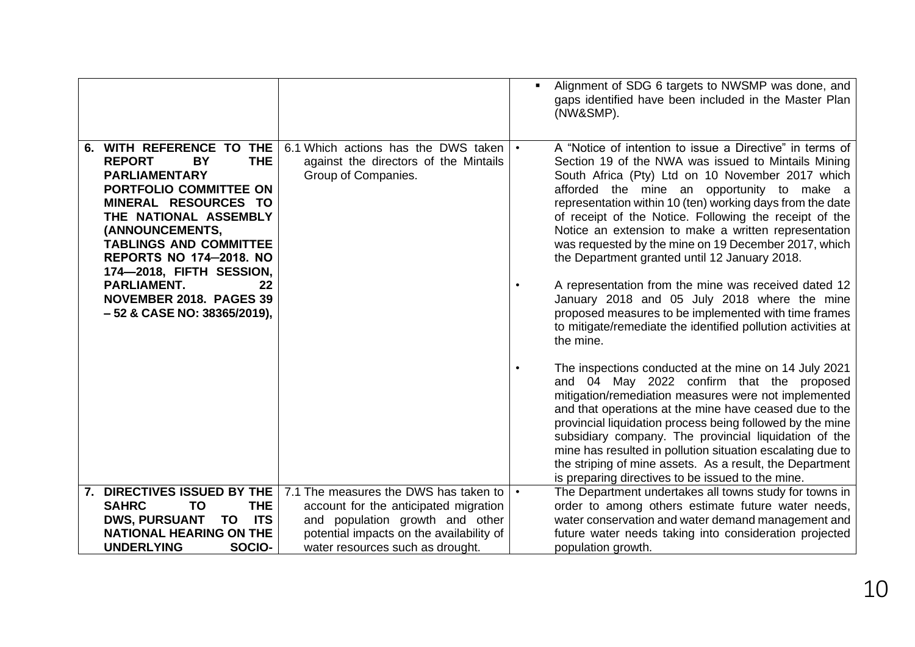|                                                                                                                                                                                                                                                                                                                                                                           |                                                                                                     | Alignment of SDG 6 targets to NWSMP was done, and<br>gaps identified have been included in the Master Plan<br>(NW&SMP).                                                                                                                                                                                                                                                                                                                                                                                                                                                                                                                                                                                                                                |
|---------------------------------------------------------------------------------------------------------------------------------------------------------------------------------------------------------------------------------------------------------------------------------------------------------------------------------------------------------------------------|-----------------------------------------------------------------------------------------------------|--------------------------------------------------------------------------------------------------------------------------------------------------------------------------------------------------------------------------------------------------------------------------------------------------------------------------------------------------------------------------------------------------------------------------------------------------------------------------------------------------------------------------------------------------------------------------------------------------------------------------------------------------------------------------------------------------------------------------------------------------------|
| 6. WITH REFERENCE TO THE<br><b>THE</b><br><b>REPORT</b><br>BY<br><b>PARLIAMENTARY</b><br>PORTFOLIO COMMITTEE ON<br>MINERAL RESOURCES TO<br>THE NATIONAL ASSEMBLY<br>(ANNOUNCEMENTS,<br><b>TABLINGS AND COMMITTEE</b><br><b>REPORTS NO 174-2018. NO</b><br>174-2018, FIFTH SESSION,<br><b>PARLIAMENT.</b><br>22<br>NOVEMBER 2018. PAGES 39<br>- 52 & CASE NO: 38365/2019), | 6.1 Which actions has the DWS taken<br>against the directors of the Mintails<br>Group of Companies. | A "Notice of intention to issue a Directive" in terms of<br>Section 19 of the NWA was issued to Mintails Mining<br>South Africa (Pty) Ltd on 10 November 2017 which<br>afforded the mine an opportunity to make a<br>representation within 10 (ten) working days from the date<br>of receipt of the Notice. Following the receipt of the<br>Notice an extension to make a written representation<br>was requested by the mine on 19 December 2017, which<br>the Department granted until 12 January 2018.<br>A representation from the mine was received dated 12<br>January 2018 and 05 July 2018 where the mine<br>proposed measures to be implemented with time frames<br>to mitigate/remediate the identified pollution activities at<br>the mine. |
|                                                                                                                                                                                                                                                                                                                                                                           |                                                                                                     | The inspections conducted at the mine on 14 July 2021<br>and 04 May 2022 confirm that the proposed<br>mitigation/remediation measures were not implemented<br>and that operations at the mine have ceased due to the<br>provincial liquidation process being followed by the mine<br>subsidiary company. The provincial liquidation of the<br>mine has resulted in pollution situation escalating due to<br>the striping of mine assets. As a result, the Department<br>is preparing directives to be issued to the mine.                                                                                                                                                                                                                              |
| 7. DIRECTIVES ISSUED BY THE                                                                                                                                                                                                                                                                                                                                               | 7.1 The measures the DWS has taken to                                                               | The Department undertakes all towns study for towns in                                                                                                                                                                                                                                                                                                                                                                                                                                                                                                                                                                                                                                                                                                 |
| <b>SAHRC</b><br><b>TO</b><br><b>THE</b>                                                                                                                                                                                                                                                                                                                                   | account for the anticipated migration                                                               | order to among others estimate future water needs,                                                                                                                                                                                                                                                                                                                                                                                                                                                                                                                                                                                                                                                                                                     |
| <b>DWS, PURSUANT</b><br><b>ITS</b><br>TO                                                                                                                                                                                                                                                                                                                                  | and population growth and other                                                                     | water conservation and water demand management and                                                                                                                                                                                                                                                                                                                                                                                                                                                                                                                                                                                                                                                                                                     |
| <b>NATIONAL HEARING ON THE</b>                                                                                                                                                                                                                                                                                                                                            | potential impacts on the availability of                                                            | future water needs taking into consideration projected                                                                                                                                                                                                                                                                                                                                                                                                                                                                                                                                                                                                                                                                                                 |
| SOCIO-<br><b>UNDERLYING</b>                                                                                                                                                                                                                                                                                                                                               | water resources such as drought.                                                                    | population growth.                                                                                                                                                                                                                                                                                                                                                                                                                                                                                                                                                                                                                                                                                                                                     |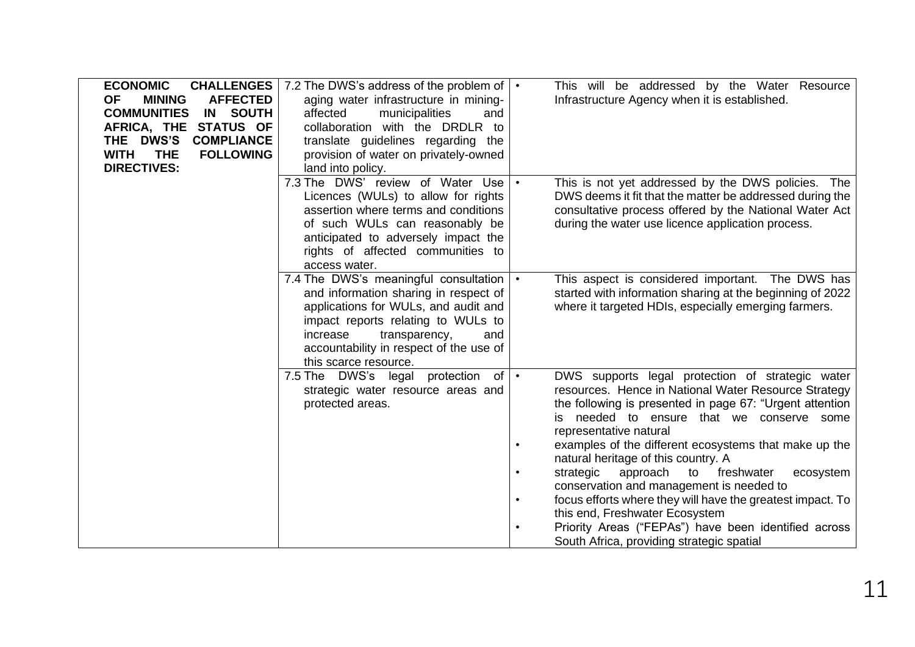| <b>ECONOMIC</b>                               | <b>CHALLENGES</b>   7.2 The DWS's address of the problem of $\cdot$           | This will be addressed by the Water Resource                                                                      |
|-----------------------------------------------|-------------------------------------------------------------------------------|-------------------------------------------------------------------------------------------------------------------|
| <b>AFFECTED</b><br><b>OF</b><br><b>MINING</b> | aging water infrastructure in mining-                                         | Infrastructure Agency when it is established.                                                                     |
| <b>IN SOUTH</b><br><b>COMMUNITIES</b>         | affected<br>municipalities<br>and                                             |                                                                                                                   |
| AFRICA, THE STATUS OF                         | collaboration with the DRDLR to                                               |                                                                                                                   |
| <b>COMPLIANCE</b><br>THE DWS'S                | translate guidelines regarding the                                            |                                                                                                                   |
| <b>THE</b><br><b>FOLLOWING</b><br><b>WITH</b> | provision of water on privately-owned                                         |                                                                                                                   |
| <b>DIRECTIVES:</b>                            | land into policy.                                                             |                                                                                                                   |
|                                               | 7.3 The DWS' review of Water Use                                              | This is not yet addressed by the DWS policies. The                                                                |
|                                               | Licences (WULs) to allow for rights                                           | DWS deems it fit that the matter be addressed during the                                                          |
|                                               | assertion where terms and conditions                                          | consultative process offered by the National Water Act                                                            |
|                                               | of such WULs can reasonably be                                                | during the water use licence application process.                                                                 |
|                                               | anticipated to adversely impact the                                           |                                                                                                                   |
|                                               | rights of affected communities to                                             |                                                                                                                   |
|                                               | access water.                                                                 |                                                                                                                   |
|                                               | 7.4 The DWS's meaningful consultation                                         | This aspect is considered important. The DWS has<br>$\bullet$                                                     |
|                                               | and information sharing in respect of<br>applications for WULs, and audit and | started with information sharing at the beginning of 2022<br>where it targeted HDIs, especially emerging farmers. |
|                                               | impact reports relating to WULs to                                            |                                                                                                                   |
|                                               | increase<br>transparency,<br>and                                              |                                                                                                                   |
|                                               | accountability in respect of the use of                                       |                                                                                                                   |
|                                               | this scarce resource.                                                         |                                                                                                                   |
|                                               | 7.5 The DWS's legal protection of   •                                         | DWS supports legal protection of strategic water                                                                  |
|                                               | strategic water resource areas and                                            | resources. Hence in National Water Resource Strategy                                                              |
|                                               | protected areas.                                                              | the following is presented in page 67: "Urgent attention                                                          |
|                                               |                                                                               | is needed to ensure that we conserve some                                                                         |
|                                               |                                                                               | representative natural                                                                                            |
|                                               |                                                                               | examples of the different ecosystems that make up the                                                             |
|                                               |                                                                               | natural heritage of this country. A                                                                               |
|                                               |                                                                               | strategic<br>approach<br>to freshwater<br>ecosystem                                                               |
|                                               |                                                                               | conservation and management is needed to                                                                          |
|                                               |                                                                               | focus efforts where they will have the greatest impact. To                                                        |
|                                               |                                                                               | this end, Freshwater Ecosystem                                                                                    |
|                                               |                                                                               | Priority Areas ("FEPAs") have been identified across                                                              |
|                                               |                                                                               | South Africa, providing strategic spatial                                                                         |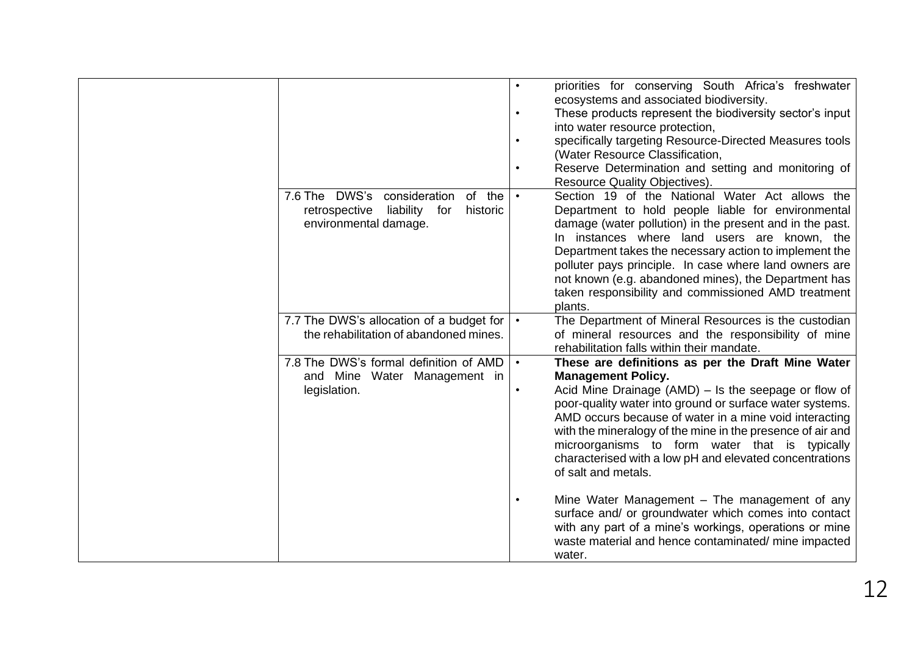|                                               | $\bullet$ | priorities for conserving South Africa's freshwater        |
|-----------------------------------------------|-----------|------------------------------------------------------------|
|                                               |           | ecosystems and associated biodiversity.                    |
|                                               |           | These products represent the biodiversity sector's input   |
|                                               |           | into water resource protection,                            |
|                                               |           | specifically targeting Resource-Directed Measures tools    |
|                                               |           | (Water Resource Classification,                            |
|                                               |           | Reserve Determination and setting and monitoring of        |
|                                               |           | Resource Quality Objectives).                              |
| 7.6 The DWS's consideration<br>of the         |           | Section 19 of the National Water Act allows the            |
| retrospective<br>liability<br>for<br>historic |           | Department to hold people liable for environmental         |
| environmental damage.                         |           | damage (water pollution) in the present and in the past.   |
|                                               |           | In instances where land users are known, the               |
|                                               |           | Department takes the necessary action to implement the     |
|                                               |           | polluter pays principle. In case where land owners are     |
|                                               |           | not known (e.g. abandoned mines), the Department has       |
|                                               |           | taken responsibility and commissioned AMD treatment        |
|                                               |           | plants.                                                    |
| 7.7 The DWS's allocation of a budget for      |           | The Department of Mineral Resources is the custodian       |
| the rehabilitation of abandoned mines.        |           | of mineral resources and the responsibility of mine        |
|                                               |           | rehabilitation falls within their mandate.                 |
| 7.8 The DWS's formal definition of AMD        | $\bullet$ | These are definitions as per the Draft Mine Water          |
| and Mine Water Management in                  |           | <b>Management Policy.</b>                                  |
| legislation.                                  | $\bullet$ | Acid Mine Drainage (AMD) - Is the seepage or flow of       |
|                                               |           | poor-quality water into ground or surface water systems.   |
|                                               |           | AMD occurs because of water in a mine void interacting     |
|                                               |           | with the mineralogy of the mine in the presence of air and |
|                                               |           | microorganisms to form water that is typically             |
|                                               |           | characterised with a low pH and elevated concentrations    |
|                                               |           | of salt and metals.                                        |
|                                               |           |                                                            |
|                                               |           | Mine Water Management - The management of any              |
|                                               |           | surface and/ or groundwater which comes into contact       |
|                                               |           | with any part of a mine's workings, operations or mine     |
|                                               |           | waste material and hence contaminated/mine impacted        |
|                                               |           | water.                                                     |
|                                               |           |                                                            |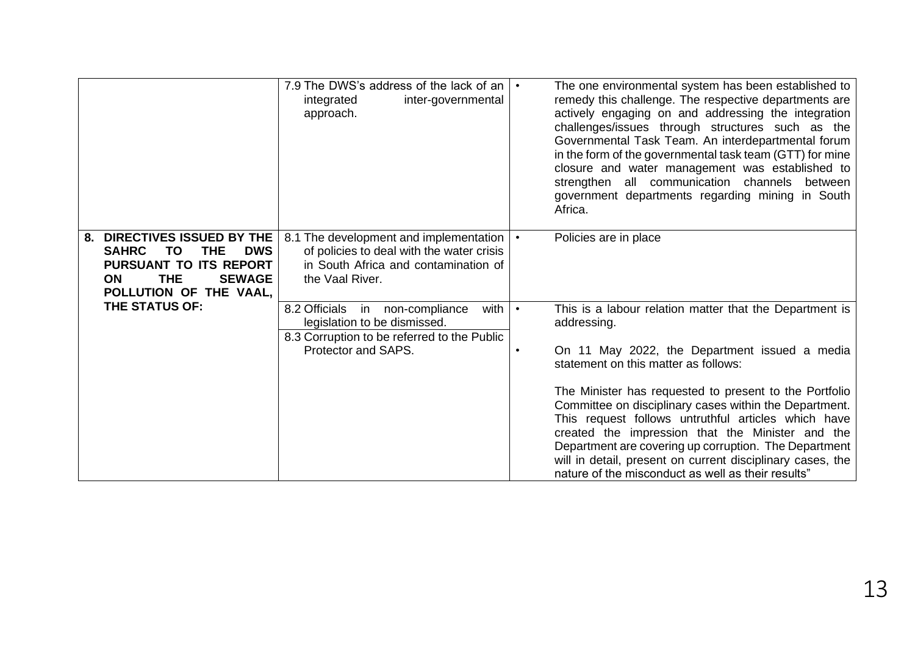|                                                                                                                                                                                                           | 7.9 The DWS's address of the lack of an $ \cdot $<br>integrated<br>inter-governmental<br>approach.                                               |           | The one environmental system has been established to<br>remedy this challenge. The respective departments are<br>actively engaging on and addressing the integration<br>challenges/issues through structures such as the<br>Governmental Task Team. An interdepartmental forum<br>in the form of the governmental task team (GTT) for mine<br>closure and water management was established to<br>strengthen all communication channels<br>between<br>government departments regarding mining in South<br>Africa.                                                            |
|-----------------------------------------------------------------------------------------------------------------------------------------------------------------------------------------------------------|--------------------------------------------------------------------------------------------------------------------------------------------------|-----------|-----------------------------------------------------------------------------------------------------------------------------------------------------------------------------------------------------------------------------------------------------------------------------------------------------------------------------------------------------------------------------------------------------------------------------------------------------------------------------------------------------------------------------------------------------------------------------|
| DIRECTIVES ISSUED BY THE<br>8.<br><b>SAHRC</b><br><b>THE</b><br><b>DWS</b><br>ΤO<br><b>PURSUANT TO ITS REPORT</b><br><b>THE</b><br><b>SEWAGE</b><br><b>ON</b><br>POLLUTION OF THE VAAL,<br>THE STATUS OF: | 8.1 The development and implementation<br>of policies to deal with the water crisis<br>in South Africa and contamination of<br>the Vaal River.   | $\bullet$ | Policies are in place                                                                                                                                                                                                                                                                                                                                                                                                                                                                                                                                                       |
|                                                                                                                                                                                                           | 8.2 Officials<br>in non-compliance<br>with<br>legislation to be dismissed.<br>8.3 Corruption to be referred to the Public<br>Protector and SAPS. | $\bullet$ | This is a labour relation matter that the Department is<br>addressing.<br>On 11 May 2022, the Department issued a media<br>statement on this matter as follows:<br>The Minister has requested to present to the Portfolio<br>Committee on disciplinary cases within the Department.<br>This request follows untruthful articles which have<br>created the impression that the Minister and the<br>Department are covering up corruption. The Department<br>will in detail, present on current disciplinary cases, the<br>nature of the misconduct as well as their results" |